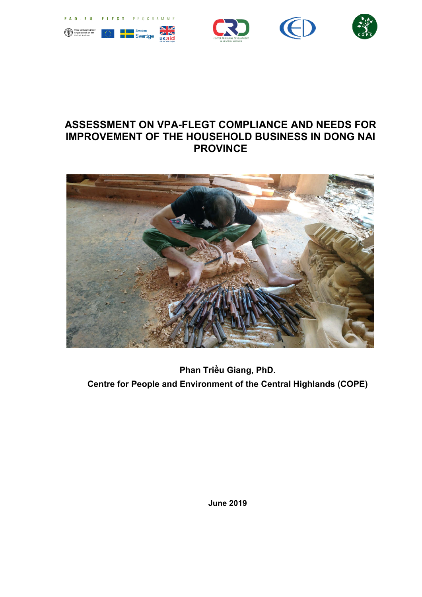

# ASSESSMENT ON VPA-FLEGT COMPLIANCE AND NEEDS FOR IMPROVEMENT OF THE HOUSEHOLD BUSINESS IN DONG NAI<br>PROVINCE



Centre for People and Environment of the Central Highlands (COPE) Phan Triều Giang, PhD.

June 2019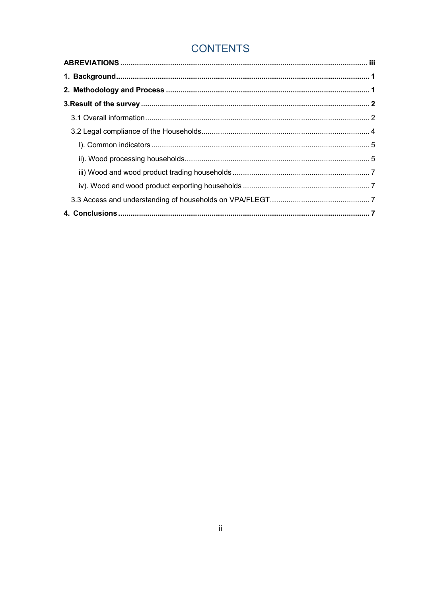## **CONTENTS**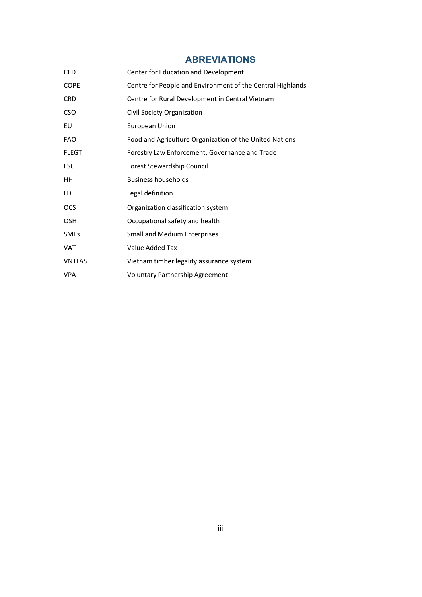### ABREVIATIONS

<span id="page-2-0"></span>

| <b>CED</b>    | Center for Education and Development                       |
|---------------|------------------------------------------------------------|
| <b>COPE</b>   | Centre for People and Environment of the Central Highlands |
| <b>CRD</b>    | Centre for Rural Development in Central Vietnam            |
| <b>CSO</b>    | Civil Society Organization                                 |
| EU            | <b>European Union</b>                                      |
| <b>FAO</b>    | Food and Agriculture Organization of the United Nations    |
| <b>FLEGT</b>  | Forestry Law Enforcement, Governance and Trade             |
| <b>FSC</b>    | Forest Stewardship Council                                 |
| HH            | <b>Business households</b>                                 |
| LD            | Legal definition                                           |
| OCS           | Organization classification system                         |
| <b>OSH</b>    | Occupational safety and health                             |
| <b>SMEs</b>   | <b>Small and Medium Enterprises</b>                        |
| <b>VAT</b>    | Value Added Tax                                            |
| <b>VNTLAS</b> | Vietnam timber legality assurance system                   |
| <b>VPA</b>    | <b>Voluntary Partnership Agreement</b>                     |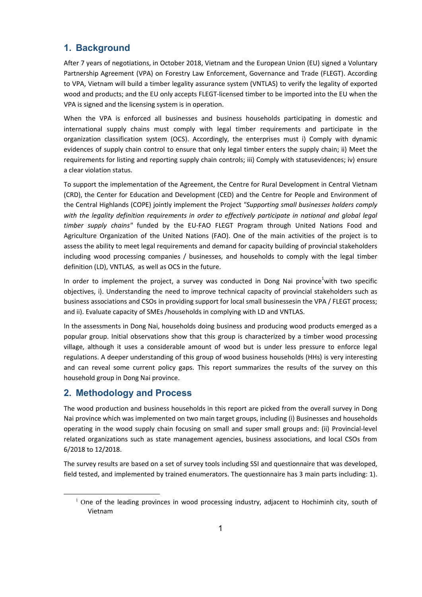#### <span id="page-3-0"></span>1. Background

After 7 years of negotiations, in October 2018, Vietnam and the European Union (EU) signed a Voluntary Partnership Agreement (VPA) on Forestry Law Enforcement, Governance and Trade (FLEGT). According to VPA, Vietnam will build a timber legality assurance system (VNTLAS) to verify the legality of exported wood and products; and the EU only accepts FLEGT-licensed timber to be imported into the EU when the VPA is signed and the licensing system is in operation.

When the VPA is enforced all businesses and business households participating in domestic and international supply chains must comply with legal timber requirements and participate in the organization classification system (OCS). Accordingly, the enterprises must i) Comply with dynamic evidences of supply chain control to ensure that only legal timber enters the supply chain; ii) Meet the requirements for listing and reporting supply chain controls; iii) Comply with statusevidences; iv) ensure a clear violation status.

To support the implementation of the Agreement, the Centre for Rural Development in Central Vietnam (CRD), the Center for Education and Development (CED) and the Centre for People and Environment of the Central Highlands (COPE) jointly implement the Project *"Supporting small businesses holders comply*  with the legality definition requirements in order to effectively participate in national and global legal *timber supply chains"* funded by the EU-FAO FLEGT Program through United Nations Food and Agriculture Organization of the United Nations (FAO). One of the main activities of the project is to assess the ability to meet legal requirements and demand for capacity building of provincial stakeholders including wood processing companies / businesses, and households to comply with the legal timber definition (LD), VNTLAS, as well as OCS in the future.

In order to implement the project, a survey was conducted in Dong Nai province<sup>1</sup>with two specific objectives, i). Understanding the need to improve technical capacity of provincial stakeholders such as business associations and CSOs in providing support for local small businessesin the VPA / FLEGT process; and ii). Evaluate capacity of SMEs /households in complying with LD and VNTLAS.

In the assessments in Dong Nai, households doing business and producing wood products emerged as a popular group. Initial observations show that this group is characterized by a timber wood processing village, although it uses a considerable amount of wood but is under less pressure to enforce legal regulations. A deeper understanding of this group of wood business households (HHs) is very interesting and can reveal some current policy gaps. This report summarizes the results of the survey on this household group in Dong Nai province.

#### 2. Methodology and Process

-

The wood production and business households in this report are picked from the overall survey in Dong Nai province which was implemented on two main target groups, including (i) Businesses and households operating in the wood supply chain focusing on small and super small groups and: (ii) Provincial-level related organizations such as state management agencies, business associations, and local CSOs from 6/2018 to 12/2018.

The survey results are based on a set of survey tools including SSI and questionnaire that was developed, field tested, and implemented by trained enumerators. The questionnaire has 3 main parts including: 1).

 $1$  One of the leading provinces in wood processing industry, adjacent to Hochiminh city, south of Vietnam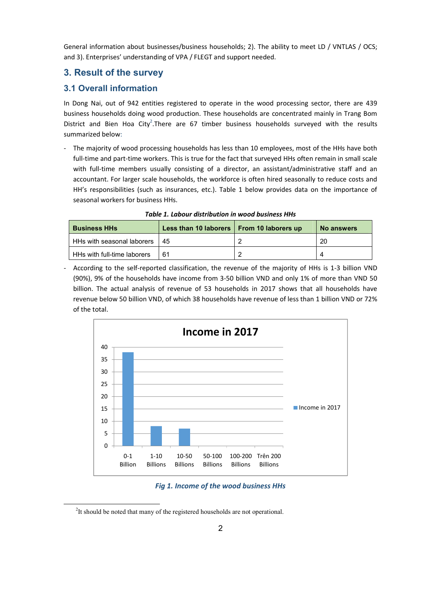<span id="page-4-0"></span>General information about businesses/business households; 2). The ability to meet LD / VNTLAS / OCS; and 3). Enterprises' understanding of VPA / FLEGT and support needed.

#### 3. Result of the survey

#### 3.1 Overall information

In Dong Nai, out of 942 entities registered to operate in the wood processing sector, there are 439 business households doing wood production. These households are concentrated mainly in Trang Bom District and Bien Hoa City<sup>2</sup>. There are 67 timber business households surveyed with the results summarized below:

The majority of wood processing households has less than 10 employees, most of the HHs have both full-time and part-time workers. This is true for the fact that surveyed HHs often remain in small scale with full-time members usually consisting of a director, an assistant/administrative staff and an accountant. For larger scale households, the workforce is often hired seasonally to reduce costs and HH's responsibilities (such as insurances, etc.). Table 1 below provides data on the importance of seasonal workers for business HHs.

| <b>Business HHs</b>         | Less than 10 laborers   From 10 laborers up | No answers |
|-----------------------------|---------------------------------------------|------------|
| HHs with seasonal laborers  | 45                                          | -20        |
| HHs with full-time laborers | 61                                          |            |

*Table 1. Labour distribution in wood business HHs*

- According to the self-reported classification, the revenue of the majority of HHs is 1-3 billion VND (90%), 9% of the households have income from 3-50 billion VND and only 1% of more than VND 50 billion. The actual analysis of revenue of 53 households in 2017 shows that all households have revenue below 50 billion VND, of which 38 households have revenue of less than 1 billion VND or 72% of the total.



*Fig 1. Income of the wood business HHs*

<sup>&</sup>lt;sup>2</sup>It should be noted that many of the registered households are not operational.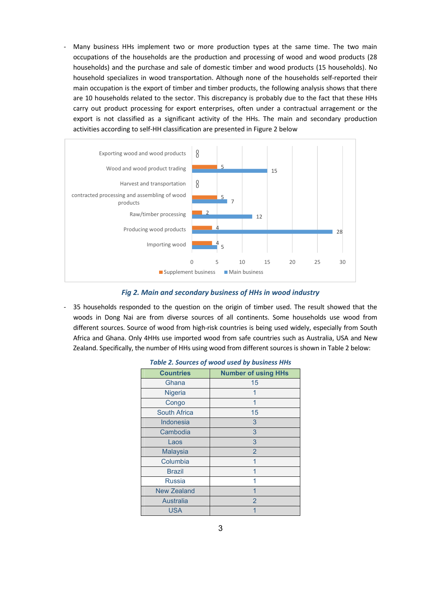Many business HHs implement two or more production types at the same time. The two main occupations of the households are the production and processing of wood and wood products (28 households) and the purchase and sale of domestic timber and wood products (15 households). No household specializes in wood transportation. Although none of the households self-reported their main occupation is the export of timber and timber products, the following analysis shows that there are 10 households related to the sector. This discrepancy is probably due to the fact that these HHs carry out product processing for export enterprises, often under a contractual arragement or the export is not classified as a significant activity of the HHs. The main and secondary production activities according to self-HH classification are presented in Figure 2 below



#### *Fig 2. Main and secondary business of HHs in wood industry*

- 35 households responded to the question on the origin of timber used. The result showed that the woods in Dong Nai are from diverse sources of all continents. Some households use wood from different sources. Source of wood from high-risk countries is being used widely, especially from South Africa and Ghana. Only 4HHs use imported wood from safe countries such as Australia, USA and New Zealand. Specifically, the number of HHs using wood from different sources is shown in Table 2 below:

| <b>Countries</b>    | <b>Number of using HHs</b> |  |  |  |
|---------------------|----------------------------|--|--|--|
| Ghana               | 15                         |  |  |  |
| Nigeria             | 1                          |  |  |  |
| Congo               | 1                          |  |  |  |
| <b>South Africa</b> | 15                         |  |  |  |
| <b>Indonesia</b>    | 3                          |  |  |  |
| Cambodia            | 3                          |  |  |  |
| Laos                | 3                          |  |  |  |
| <b>Malaysia</b>     | $\overline{2}$             |  |  |  |
| Columbia            | 1                          |  |  |  |
| <b>Brazil</b>       | 1                          |  |  |  |
| <b>Russia</b>       | 1                          |  |  |  |
| <b>New Zealand</b>  | 1                          |  |  |  |
| Australia           | $\overline{2}$             |  |  |  |
| USA                 |                            |  |  |  |

|  |  |  |  | <b>Table 2. Sources of wood used by business HHs</b> |  |
|--|--|--|--|------------------------------------------------------|--|
|--|--|--|--|------------------------------------------------------|--|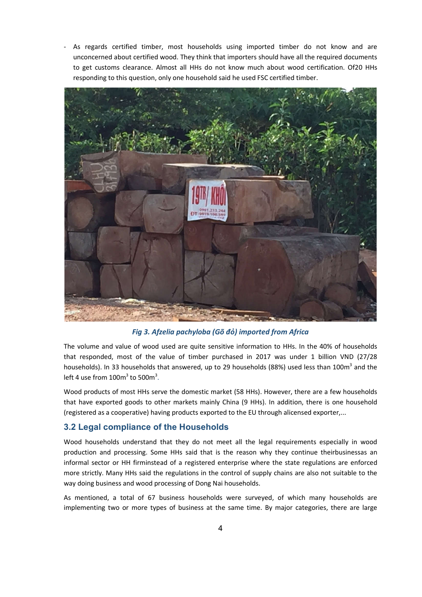<span id="page-6-0"></span>As regards certified timber, most households using imported timber do not know and are unconcerned about certified wood. They think that importers should have all the required documents to get customs clearance. Almost all HHs do not know much about wood certification. Of20 HHs responding to this question, only one household said he used FSC certified timber.



*Fig 3. Afzelia pachyloba (Gõ đỏ) imported from Africa*

The volume and value of wood used are quite sensitive information to HHs. In the 40% of households that responded, most of the value of timber purchased in 2017 was under 1 billion VND (27/28 households). In 33 households that answered, up to 29 households (88%) used less than 100m<sup>3</sup> and the left 4 use from  $100m^3$  to 500 $m^3$ .

Wood products of most HHs serve the domestic market (58 HHs). However, there are a few households that have exported goods to other markets mainly China (9 HHs). In addition, there is one household (registered as a cooperative) having products exported to the EU through alicensed exporter,...

#### 3.2 Legal compliance of the Households

Wood households understand that they do not meet all the legal requirements especially in wood production and processing. Some HHs said that is the reason why they continue theirbusinessas an informal sector or HH firminstead of a registered enterprise where the state regulations are enforced more strictly. Many HHs said the regulations in the control of supply chains are also not suitable to the way doing business and wood processing of Dong Nai households.

As mentioned, a total of 67 business households were surveyed, of which many households are implementing two or more types of business at the same time. By major categories, there are large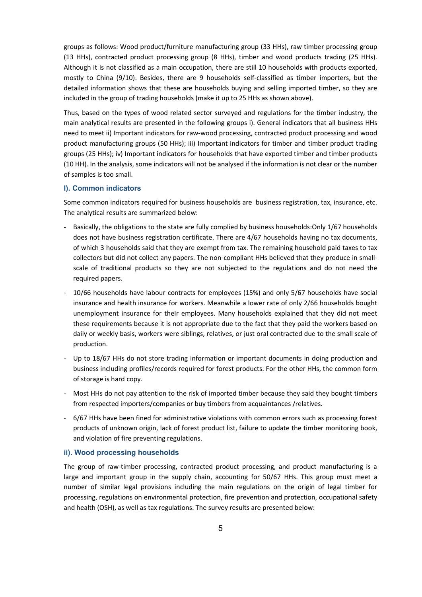<span id="page-7-0"></span>groups as follows: Wood product/furniture manufacturing group (33 HHs), raw timber processing group (13 HHs), contracted product processing group (8 HHs), timber and wood products trading (25 HHs). Although it is not classified as a main occupation, there are still 10 households with products exported, mostly to China (9/10). Besides, there are 9 households self-classified as timber importers, but the detailed information shows that these are households buying and selling imported timber, so they are included in the group of trading households (make it up to 25 HHs as shown above).

Thus, based on the types of wood related sector surveyed and regulations for the timber industry, the main analytical results are presented in the following groups i). General indicators that all business HHs need to meet ii) Important indicators for raw-wood processing, contracted product processing and wood product manufacturing groups (50 HHs); iii) Important indicators for timber and timber product trading groups (25 HHs); iv) Important indicators for households that have exported timber and timber products (10 HH). In the analysis, some indicators will not be analysed if the information is not clear or the number of samples is too small.

#### I). Common indicators

Some common indicators required for business households are business registration, tax, insurance, etc. The analytical results are summarized below:

- Basically, the obligations to the state are fully complied by business households:Only 1/67 households does not have business registration certificate. There are 4/67 households having no tax documents, of which 3 households said that they are exempt from tax. The remaining household paid taxes to tax collectors but did not collect any papers. The non-compliant HHs believed that they produce in smallscale of traditional products so they are not subjected to the regulations and do not need the required papers.
- 10/66 households have labour contracts for employees (15%) and only 5/67 households have social insurance and health insurance for workers. Meanwhile a lower rate of only 2/66 households bought unemployment insurance for their employees. Many households explained that they did not meet these requirements because it is not appropriate due to the fact that they paid the workers based on daily or weekly basis, workers were siblings, relatives, or just oral contracted due to the small scale of production.
- Up to 18/67 HHs do not store trading information or important documents in doing production and business including profiles/records required for forest products. For the other HHs, the common form of storage is hard copy.
- Most HHs do not pay attention to the risk of imported timber because they said they bought timbers from respected importers/companies or buy timbers from acquaintances /relatives.
- 6/67 HHs have been fined for administrative violations with common errors such as processing forest products of unknown origin, lack of forest product list, failure to update the timber monitoring book, and violation of fire preventing regulations.

#### ii). Wood processing households

The group of raw-timber processing, contracted product processing, and product manufacturing is a large and important group in the supply chain, accounting for 50/67 HHs. This group must meet a number of similar legal provisions including the main regulations on the origin of legal timber for processing, regulations on environmental protection, fire prevention and protection, occupational safety and health (OSH), as well as tax regulations. The survey results are presented below: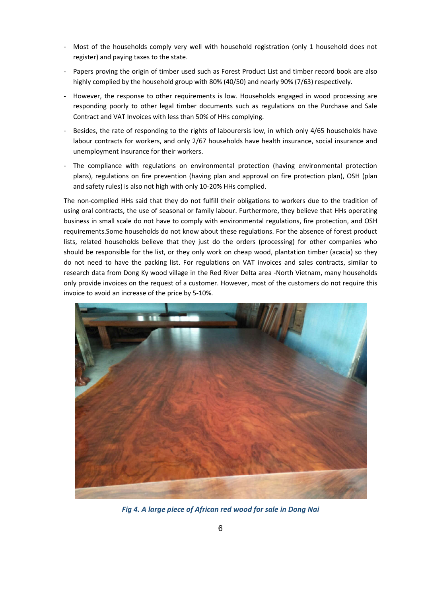- Most of the households comply very well with household registration (only 1 household does not register) and paying taxes to the state.
- Papers proving the origin of timber used such as Forest Product List and timber record book are also highly complied by the household group with 80% (40/50) and nearly 90% (7/63) respectively.
- However, the response to other requirements is low. Households engaged in wood processing are responding poorly to other legal timber documents such as regulations on the Purchase and Sale Contract and VAT Invoices with less than 50% of HHs complying.
- Besides, the rate of responding to the rights of labourersis low, in which only 4/65 households have labour contracts for workers, and only 2/67 households have health insurance, social insurance and unemployment insurance for their workers.
- The compliance with regulations on environmental protection (having environmental protection plans), regulations on fire prevention (having plan and approval on fire protection plan), OSH (plan and safety rules) is also not high with only 10-20% HHs complied.

The non-complied HHs said that they do not fulfill their obligations to workers due to the tradition of using oral contracts, the use of seasonal or family labour. Furthermore, they believe that HHs operating business in small scale do not have to comply with environmental regulations, fire protection, and OSH requirements.Some households do not know about these regulations. For the absence of forest product lists, related households believe that they just do the orders (processing) for other companies who should be responsible for the list, or they only work on cheap wood, plantation timber (acacia) so they do not need to have the packing list. For regulations on VAT invoices and sales contracts, similar to research data from Dong Ky wood village in the Red River Delta area -North Vietnam, many households only provide invoices on the request of a customer. However, most of the customers do not require this invoice to avoid an increase of the price by 5-10%.



*Fig 4. A large piece of African red wood for sale in Dong Nai*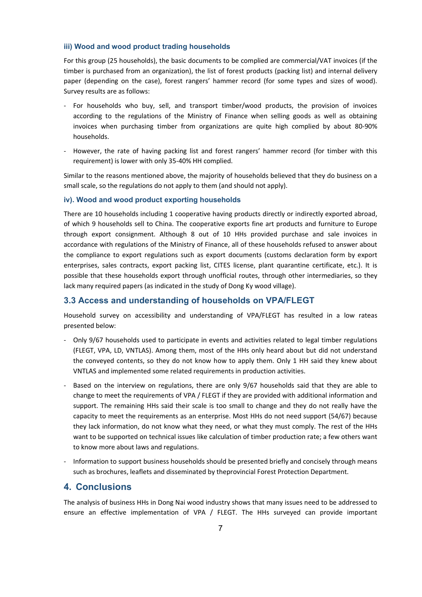#### <span id="page-9-0"></span>iii) Wood and wood product trading households

For this group (25 households), the basic documents to be complied are commercial/VAT invoices (if the timber is purchased from an organization), the list of forest products (packing list) and internal delivery paper (depending on the case), forest rangers' hammer record (for some types and sizes of wood). Survey results are as follows:

- For households who buy, sell, and transport timber/wood products, the provision of invoices according to the regulations of the Ministry of Finance when selling goods as well as obtaining invoices when purchasing timber from organizations are quite high complied by about 80-90% households.
- However, the rate of having packing list and forest rangers' hammer record (for timber with this requirement) is lower with only 35-40% HH complied.

Similar to the reasons mentioned above, the majority of households believed that they do business on a small scale, so the regulations do not apply to them (and should not apply).

#### iv). Wood and wood product exporting households

There are 10 households including 1 cooperative having products directly or indirectly exported abroad, of which 9 households sell to China. The cooperative exports fine art products and furniture to Europe through export consignment. Although 8 out of 10 HHs provided purchase and sale invoices in accordance with regulations of the Ministry of Finance, all of these households refused to answer about the compliance to export regulations such as export documents (customs declaration form by export enterprises, sales contracts, export packing list, CITES license, plant quarantine certificate, etc.). It is possible that these households export through unofficial routes, through other intermediaries, so they lack many required papers (as indicated in the study of Dong Ky wood village).

#### 3.3 Access and understanding of households on VPA/FLEGT

Household survey on accessibility and understanding of VPA/FLEGT has resulted in a low rateas presented below:

- Only 9/67 households used to participate in events and activities related to legal timber regulations (FLEGT, VPA, LD, VNTLAS). Among them, most of the HHs only heard about but did not understand the conveyed contents, so they do not know how to apply them. Only 1 HH said they knew about VNTLAS and implemented some related requirements in production activities.
- Based on the interview on regulations, there are only 9/67 households said that they are able to change to meet the requirements of VPA / FLEGT if they are provided with additional information and support. The remaining HHs said their scale is too small to change and they do not really have the capacity to meet the requirements as an enterprise. Most HHs do not need support (54/67) because they lack information, do not know what they need, or what they must comply. The rest of the HHs want to be supported on technical issues like calculation of timber production rate; a few others want to know more about laws and regulations.
- Information to support business households should be presented briefly and concisely through means such as brochures, leaflets and disseminated by theprovincial Forest Protection Department.

#### 4. Conclusions

The analysis of business HHs in Dong Nai wood industry shows that many issues need to be addressed to ensure an effective implementation of VPA / FLEGT. The HHs surveyed can provide important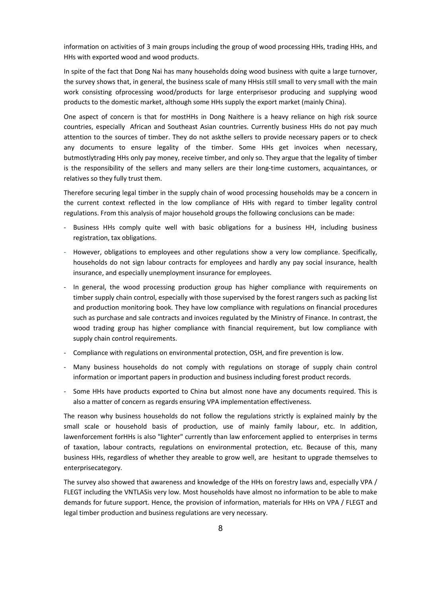information on activities of 3 main groups including the group of wood processing HHs, trading HHs, and HHs with exported wood and wood products.

In spite of the fact that Dong Nai has many households doing wood business with quite a large turnover, the survey shows that, in general, the business scale of many HHsis still small to very small with the main work consisting ofprocessing wood/products for large enterprisesor producing and supplying wood products to the domestic market, although some HHs supply the export market (mainly China).

One aspect of concern is that for mostHHs in Dong Naithere is a heavy reliance on high risk source countries, especially African and Southeast Asian countries. Currently business HHs do not pay much attention to the sources of timber. They do not askthe sellers to provide necessary papers or to check any documents to ensure legality of the timber. Some HHs get invoices when necessary, butmostlytrading HHs only pay money, receive timber, and only so. They argue that the legality of timber is the responsibility of the sellers and many sellers are their long-time customers, acquaintances, or relatives so they fully trust them.

Therefore securing legal timber in the supply chain of wood processing households may be a concern in the current context reflected in the low compliance of HHs with regard to timber legality control regulations. From this analysis of major household groups the following conclusions can be made:

- Business HHs comply quite well with basic obligations for a business HH, including business registration, tax obligations.
- However, obligations to employees and other regulations show a very low compliance. Specifically, households do not sign labour contracts for employees and hardly any pay social insurance, health insurance, and especially unemployment insurance for employees.
- In general, the wood processing production group has higher compliance with requirements on timber supply chain control, especially with those supervised by the forest rangers such as packing list and production monitoring book. They have low compliance with regulations on financial procedures such as purchase and sale contracts and invoices regulated by the Ministry of Finance. In contrast, the wood trading group has higher compliance with financial requirement, but low compliance with supply chain control requirements.
- Compliance with regulations on environmental protection, OSH, and fire prevention is low.
- Many business households do not comply with regulations on storage of supply chain control information or important papers in production and business including forest product records.
- Some HHs have products exported to China but almost none have any documents required. This is also a matter of concern as regards ensuring VPA implementation effectiveness.

The reason why business households do not follow the regulations strictly is explained mainly by the small scale or household basis of production, use of mainly family labour, etc. In addition, lawenforcement forHHs is also "lighter" currently than law enforcement applied to enterprises in terms of taxation, labour contracts, regulations on environmental protection, etc. Because of this, many business HHs, regardless of whether they areable to grow well, are hesitant to upgrade themselves to enterprisecategory.

The survey also showed that awareness and knowledge of the HHs on forestry laws and, especially VPA / FLEGT including the VNTLASis very low. Most households have almost no information to be able to make demands for future support. Hence, the provision of information, materials for HHs on VPA / FLEGT and legal timber production and business regulations are very necessary.